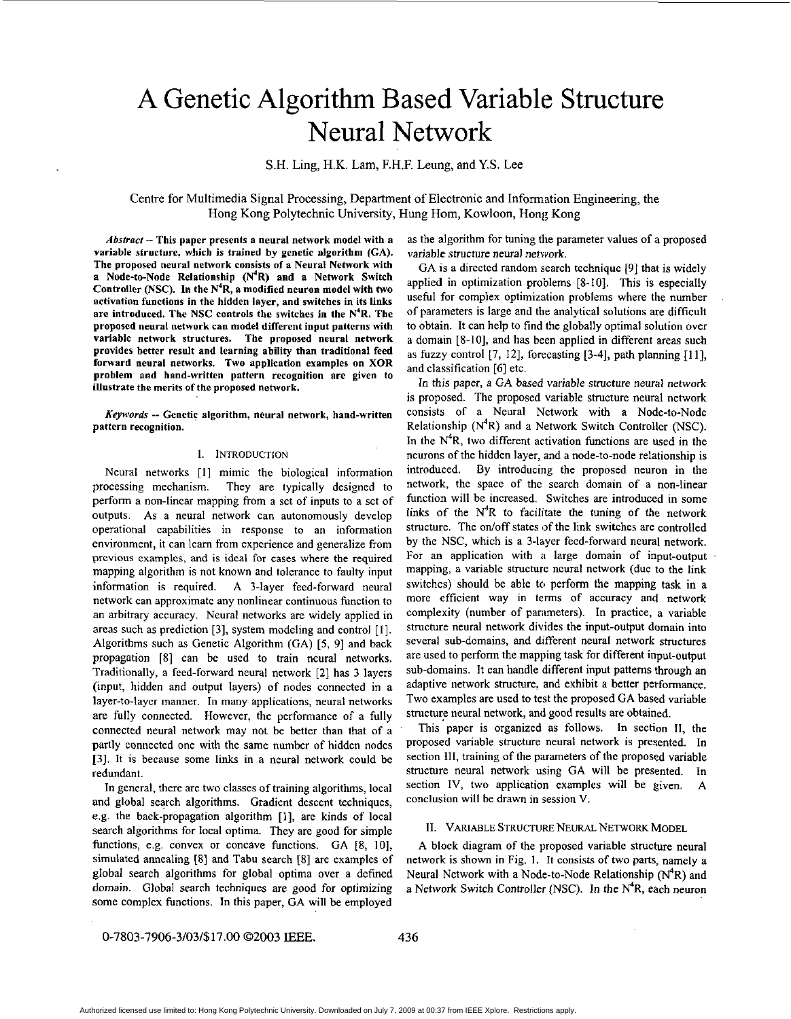# **A** Genetic Algorithm Based Variable Structure Neural Network

S.H. Ling, H.K. Lam, F.H.F. Leung, and Y.S. Lee

Centre for Multimedia Signal Processing, Department of Electronic and Information Engineering, the Hong Kong Polytechnic University, Hung Hom, Kowloon, Hong Kong

*Abstract-* This paper presents a neural network model with a variable structure, which is trained by genetic algorithm (CA). The proposed neural network consists of a Neural Network with a Node-to-Node Relationship (N<sup>4</sup>R) and a Network Switch Controller (NSC). In the N'R, a modified neuron model with two activation functions in the hidden layer, and switches in its links are introduced. The NSC controls the switches in the N'R. The proposed neural network can model different input patterns with variable network structures. The proposed neural network provides better result and learning ability than traditional feed forward neural networks. Two application examples an **XOR**  problem and hand-written pattern recognition are given to illustrate the merits of the proposed network.

*Keywords* -- Genetic algorithm, neural network, hand-written pattern recognition.

#### **1.** INTRODUCTION

Neural networks **[I]** mimic the biological information processing mechanism. They are typically designed to perform a non-linear mapping from a set of inputs to a set of outputs. As a neural network can autonomously develop operational capabilities in response to an information environment, it can learn from experience and generalize from previous examples, and is ideal for cases where the required mapping algorithm is not known and tolerance to faulty input information is required. A 3-layer feed-forward neural network can approximate any nonlinear continuous function to an arbitrary accuracy. Neural networks are widely applied in areas such as prediction [3], system modeling and control **[I].**  Algorithms such as Genetic Algorithm (GA) *[S,* 91 and back propagation [8] can be used to train neural networks. Traditionally, a feed-forward neural network [2] has **3** layers (input, hidden and output layers) of nodes connected in a layer-to-layer manner. In many applications, neural networks are fully connected. However, the performance of a fully connected neural network may not be better than that of a partly connected one with the same number of hidden nodes **131.** It is because some links in a neural network could be redundant.

In general, there are two classes of training algorithms, local and global search algorithms. Gradient descent techniques, e.g. the back-propagation algorithm [I], are kinds of local search algorithms for local optima. They are good for simple functions, e.g. convex or concave functions. GA **[S,** IO], simulated annealing **[8]** and Tabu search **[SI** are examples of global search algorithms for global optima over a defined domain. Global search techniques are good for optimizing some complex functions. In this paper, GA will be employed

as the algorithm for tuning the parameter values of a proposed variable structure neural network.

GA is a directed random search technique **[9]** that is widely applied in optimization problems [S-IO]. This is especially useful for complex optimization problems where the number of parameters is large and the analytical solutions are difficult to obtain. It can help to find the globally optimal solution over a domain [S-IO], and has been applied in different areas such as fuzzy control  $[7, 12]$ , forecasting  $[3-4]$ , path planning  $[11]$ , and classification **[6]** etc.

In this paper, a GA based variable structure neural network is proposed. The proposed variable structure neural network consists of a Neural Network with a Node-to-Node Relationship  $(N^4R)$  and a Network Switch Controller (NSC). In the  $N<sup>4</sup>R$ , two different activation functions are used in the neurons of the hidden layer, and a node-to-node relationship is introduced. By introducing the proposed neuron in the network, the space of the search domain of a non-linear function will be increased. Switches are introduced in some links of the  $N<sup>4</sup>R$  to facilitate the tuning of the network structure. The on/off states of the link switches are controlled by the NSC, which is a 3-layer feed-forward neural network, For an application with a large domain of input-output mapping, a variable structure neural network (due to the link switches) should be able to perform the mapping task in a more efficient way in terms of accuracy and network complexity (number of parameters). In practice, a variable structure neural network divides the input-output domain into several sub-domains, and different neural network structures are used to perform the mapping task for different input-output sub-domains. It can handle different input patterns through an adaptive network structure, and exhibit a better performance. Two examples are used to test the proposed GA based variable structure neural network, and good results are obtained.

This paper is organized as follows. In section II, the proposed variable structure neural network is presented. In section **111,** training of the parameters of the proposed variable structure neural network using GA will be presented. In section IV, two application examples will be given. A conclusion will be drawn in session V.

#### **11.** VARIABLE STRUCTURE NEURAL NETWORK MODEL

A block diagram of the proposed variable structure neural network is shown in Fig. 1. It consists of two parts, namely a Neural Network with a Node-to-Node Relationship  $(N^4R)$  and a Network Switch Controller (NSC). In the  $N^4R$ , each neuron

0-7803-7906-3/03/\$17.00 02003 IEEE.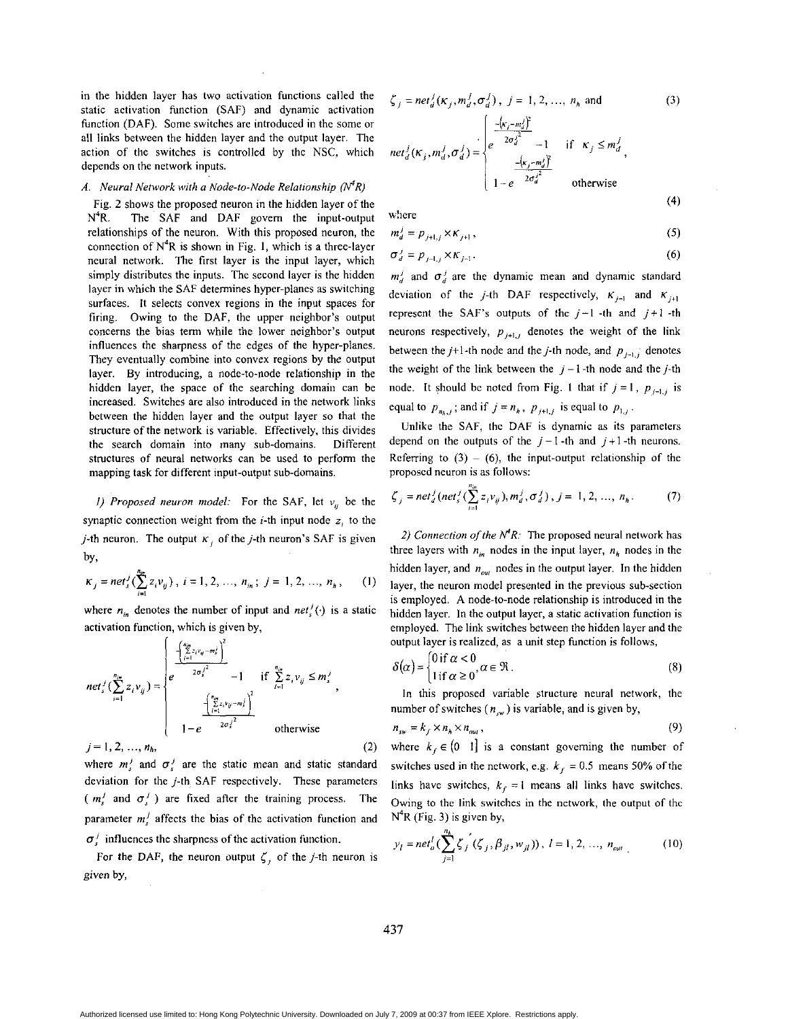in the hidden layer has two activation functions called the static activation function (SAF) and dynamic activation function (DAF). Some switches are introduced in the some or all links between the hidden layer and the output layer. The action of the switches is controlled by the NSC, which depends on the network inputs.

### *A. Neural Network with a Node-to-Node Relationship*  $(N^4R)$

[Fig.](#page-5-0) *2* shows the proposed neuron in the hidden layer of the **N4R.** The SAF and DAF govem the input-output relationships of the neuron. With this proposed neuron, the connection of N4R **is** shown in Fig. **I,** which is a three-layer neural network. The first layer **is** the input layer, which simply distributes the inputs. The second layer is the hidden layer in which the SAF determines hypcr-planes as switching surfaces. It selects convex regions in the input spaces for firing. Owing to the DAF, the upper neighbor's output concems the bias term while the lower neighbor's output influences the sharpness of the edges of the hyper-planes. They eventually combine into convex regions by the output layer. By introducing, a node-to-node relationship in the hidden layer, the space of the searching domain can be increased. Switches are also introduced in the network links between the hidden layer and the output layer so that the structure of the network is variable. Effectively, this divides the search domain into many sub-domains. Different stmctures of neural networks can be used to perform the mapping task for different input-output sub-domains.

*I) Proposed neuron model:* For the SAF, let  $v_{ij}$  be the synaptic connection weight from the *i*-th input node  $z_i$  to the *j*-th neuron. The output  $K_i$  of the *j*-th neuron's SAF is given by,

$$
\kappa_j = net_s^j(\sum_{i=1}^{n_m} z_i v_{ij}), i = 1, 2, ..., n_m; j = 1, 2, ..., n_h,
$$
 (1)

where  $n_{in}$  denotes the number of input and  $net_s^j(\cdot)$  is a static activation function, which is given by,

$$
net'_{s'}(\sum_{i=1}^{n_{in}} z_{i} v_{ij}) = \begin{cases} e^{-\left(\sum_{i=1}^{n_{i}} z_{i} v_{ij} - m_{s}^{i}\right)^{2}} \\ e^{-\frac{1}{2\sigma_{s}^{2}}^{2}} - 1 & \text{if } \sum_{i=1}^{n_{in}} z_{i} v_{ij} \leq m_{s}^{j} \\ \frac{1}{1 - e^{-\frac{1}{2\sigma_{s}^{2}}^{2}}^{2}} & \text{otherwise} \end{cases},
$$
  
\n $j = 1, 2, ..., n_{h},$  (2)

where  $m_i^j$  and  $\sigma_i^j$  are the static mean and static standard

deviation for the j-th SAF respectively. These parameters ( $m_s^j$  and  $\sigma_s^j$ ) are fixed after the training process. The parameter  $m_i^j$  affects the bias of the activation function and  $\sigma_i^j$  influences the sharpness of the activation function.

For the DAF, the neuron output  $\zeta_i$  of the *j*-th neuron is given by,

$$
\zeta_j = net_d^j(\kappa_j, m_d^j, \sigma_d^j), j = 1, 2, ..., n_h \text{ and}
$$
\n(3)  
\n
$$
net_d^j(\kappa_j, m_d^j, \sigma_d^j) = \begin{cases}\n-\frac{(\kappa_i - m_d^j)^2}{2\sigma_d^{j^2}} - 1 & \text{if } \kappa_j \leq m_d^j, \\
-\frac{(\kappa_j - m_d^j)^2}{2\sigma_d^{j^2}} & \text{otherwise}\n\end{cases}
$$

w!iere

$$
m_d^j = p_{j+1,j} \times \kappa_{j+1},\tag{5}
$$

**(4)** 

$$
\sigma_d^j = p_{j-1,j} \times \kappa_{j-1}.
$$
 (6)

 $m_d^j$  and  $\sigma_d^j$  are the dynamic mean and dynamic standard deviation of the *j*-th DAF respectively,  $K_{j-1}$  and  $K_{j+1}$ represent the SAF's outputs of the  $j-1$  -th and  $j+1$  -th neurons respectively,  $p_{j+1,j}$  denotes the weight of the link between the *j*+1-th node and the *j*-th node, and  $p_{i-1}$ , denotes the weight of the link between the  $j - 1$ -th node and the j-th node. It should be noted from Fig. 1 that if  $j = 1$ ,  $p_{j-1,j}$  is equal to  $p_{n_k,j}$ ; and if  $j = n_h$ ,  $p_{j+1,j}$  is equal to  $p_{1,j}$ .

Unlike the SAF, thc DAF is dynamic as its parameters depend on the outputs of the  $j-1$ -th and  $j+1$ -th neurons. Referring to  $(3) - (6)$ , the input-output relationship of the proposed neuron **is** as follows:

$$
\zeta_j = net_d^j (net_s^j (\sum_{i=1}^{n_{in}} z_i v_{ij}), m_d^j, \sigma_d^j), j = 1, 2, ..., n_h.
$$
 (7)

2) Connection of the  $N^4R$ : The proposed neural network has three layers with  $n_{in}$  nodes in the input layer,  $n_h$  nodes in the hidden layer, and  $n_{out}$  nodes in the output layer. In the hidden layer, the neuron model presented in the previous sub-section **is** employed. **A** node-to-node relationship is introduced in the hidden layer. In the output layer, a static activation function is employed. The link switches between the hidden layer and the output layer is realized, as a unit step function is follows,

$$
\delta(\alpha) = \begin{cases} 0 \text{ if } \alpha < 0 \\ 1 \text{ if } \alpha \ge 0 \end{cases}, \alpha \in \mathfrak{R}. \tag{8}
$$

In this proposed variable structure neural network, the number of switches  $(n_{\infty})$  is variable, and is given by,

$$
n_{sw} = k_f \times n_h \times n_{out}, \qquad (9)
$$

where  $k_f \in (0 \ 1]$  is a constant governing the number of switches used in the network, e.g.  $k_f = 0.5$  means 50% of the links have switches,  $k_f = 1$  means all links have switches. Owing to the link switches in the network, the output of thc  $N^4R$  (Fig. 3) is given by,

$$
y_l = net_o^l(\sum_{j=1}^{n_b} \zeta_j^{'}(\zeta_j, \beta_{jl}, w_{jl})), l = 1, 2, ..., n_{out}
$$
 (10)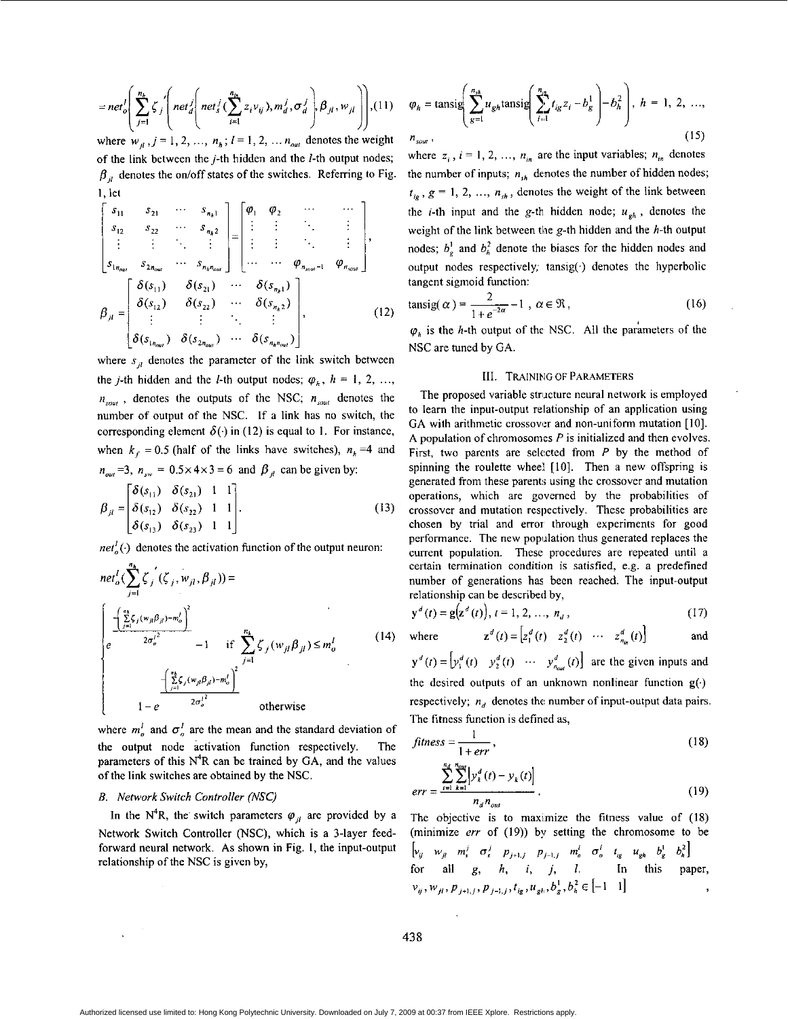$$
= net_o \left( \sum_{j=1}^{n_h} \zeta_j \left( net_d \left( net_s^j \left( \sum_{i=1}^{n_h} z_i v_{ij} \right), m_d^j, \sigma_d^j \right), \beta_{jl}, w_{jl} \right) \right), (11)
$$

where  $w_{il}$ ,  $j = 1, 2, ..., n_h$ ;  $l = 1, 2, ..., n_{out}$  denotes the weight of the link between the  $j$ -th hidden and the  $l$ -th output nodes;  $\beta_n$  denotes the on/off states of the switches. Referring to Fig.  $1.1$ et

$$
\begin{bmatrix}\n s_{11} & s_{21} & \cdots & s_{n_{k}1} \\
 s_{12} & s_{22} & \cdots & s_{n_{k}2} \\
 \vdots & \vdots & \ddots & \vdots \\
 s_{1n_{out}} & s_{2n_{out}} & \cdots & s_{n_{k}n_{out}}\n\end{bmatrix} = \begin{bmatrix}\n \varphi_{1} & \varphi_{2} & \cdots & \cdots \\
 \vdots & \vdots & \ddots & \vdots \\
 \vdots & \vdots & \ddots & \vdots \\
 \vdots & \vdots & \ddots & \vdots \\
 \cdots & \cdots & \varphi_{n_{scut}-1} & \varphi_{n_{scut}}\n\end{bmatrix},
$$
\n
$$
\beta_{ji} = \begin{bmatrix}\n \delta(s_{11}) & \delta(s_{21}) & \cdots & \delta(s_{n_{k}1}) \\
 \delta(s_{12}) & \delta(s_{22}) & \cdots & \delta(s_{n_{k}2}) \\
 \vdots & \vdots & \ddots & \vdots \\
 \delta(s_{1n_{out}}) & \delta(s_{2n_{out}}) & \cdots & \delta(s_{n_{k}n_{out}})\n\end{bmatrix},
$$
\n(12)

where  $s_{ij}$  denotes the parameter of the link switch between the *j*-th hidden and the *l*-th output nodes;  $\varphi$ <sub>*h*</sub>, *h* = 1, 2, ...,  $n_{\text{out}}$ , denotes the outputs of the NSC;  $n_{\text{out}}$  denotes the number of output of the NSC. If **a** link has no switch, the corresponding element  $\delta(\cdot)$  in (12) is equal to 1. For instance, when  $k_f = 0.5$  (half of the links have switches),  $n_h = 4$  and  $n_{out} = 3$ ,  $n_{sw} = 0.5 \times 4 \times 3 = 6$  and  $\beta_{\mu}$  can be given by:

$$
\beta_{ji} = \begin{bmatrix} \delta(s_{11}) & \delta(s_{21}) & 1 & 1 \\ \delta(s_{12}) & \delta(s_{22}) & 1 & 1 \\ \delta(s_{13}) & \delta(s_{23}) & 1 & 1 \end{bmatrix} .
$$
 (13)

*net*<sup> $l$ </sup><sub> $\alpha$ </sub> $\alpha$ <sup> $l$ </sup> $\alpha$ <sup> $l$ </sup> $\alpha$ <sup> $l$ </sup> $\alpha$ <sup> $l$ </sup> $\alpha$ <sup> $l$ </sup> $\alpha$ <sup> $l$ </sup> $\alpha$ <sup> $l$ </sup> $\alpha$ <sup> $l$ </sup> $\alpha$ <sup> $l$ </sup> $\alpha$ <sup> $l$ </sup> $\alpha$ <sup> $l$ </sup> $\alpha$ <sup> $l$ </sup> $\alpha$ <sup> $l$ </sup> $\alpha$ <sup> $l$ </sup> $\alpha$ <sup> $l$ </sup> $\alpha$ <sup> $l$ </sup> $\alpha$ <sup> $l$ </sup> $\alpha$ <sup> $l$ </sup> $\alpha$ <sup> $l$ </sup> $\alpha$ <sup> $l$ </sup> $\alpha$ <sup> $l$ </sup> $\alpha$ <sup> $l$ </sup> $\alpha$ <sup> $l$ 

$$
net_{o}^{l}(\sum_{j=1}^{n_{h}}\zeta_{j}^{'}(\zeta_{j}, w_{jl}, \beta_{jl})) =
$$
\n
$$
\begin{cases}\n\frac{\left(\sum_{j=1}^{n_{h}}\zeta_{j}(w_{jl}\beta_{jl})-m_{o}^{l}\right)^{2}}{2\sigma_{o}^{l^{2}}}-1 & \text{if } \sum_{j=1}^{n_{h}}\zeta_{j}(w_{jl}\beta_{jl}) \leq m_{o}^{l} \\
\frac{\left(\sum_{j=1}^{n_{h}}\zeta_{j}(w_{jl}\beta_{jl})-m_{o}^{l}\right)^{2}}{2\sigma_{o}^{l^{2}}}\n\end{cases}
$$
\n(14)

where  $m_a^l$  and  $\sigma_a^l$  are the mean and the standard deviation of the output node activation function respectively. parameters of this  $N^4R$  can be trained by GA, and the values of the link switches are obtained by the NSC.

# *B. Network Switch Confroller* (NSC)

In the N<sup>4</sup>R, the switch parameters  $\varphi_{ij}$  are provided by a Network Switch Controller (NSC), which is **a** 3-layer feedforward neural network. **As** shown in Fig. I, the input-output relationship of the NSC **is** given by,

$$
\varphi_{h} = \text{tansig}\left(\sum_{g=1}^{n_{th}} u_{gh} \text{tansig}\left(\sum_{i=1}^{n_{in}} t_{ig} z_{i} - b_{g}^{1}\right) - b_{h}^{2}\right), h = 1, 2, ...,
$$
  
\n
$$
n_{sout},
$$
\n(15)

where  $z_i$ ,  $i = 1, 2, ..., n_{in}$  are the input variables;  $n_{in}$  denotes the number of inputs;  $n_{sh}$  denotes the number of hidden nodes;  $t_{ig}$ ,  $g = 1, 2, ..., n_{sh}$ , denotes the weight of the link between the *i*-th input and the g-th hidden node;  $u_{oh}$ , denotes the weight of the link between the g-th hidden and the h-th output nodes;  $b<sub>n</sub><sup>1</sup>$  and  $b<sub>n</sub><sup>2</sup>$  denote the biases for the hidden nodes and output nodes respectively; tansig( $\cdot$ ) denotes the hyperbolic tangent sigmoid function:

$$
\text{tansig}(\alpha) = \frac{2}{1 + e^{-2\alpha}} - 1 \ , \ \alpha \in \mathfrak{R} \,, \tag{16}
$$

 $\varphi_h$  is the *h*-th output of the NSC. All the parameters of the NSC are tuned by **GA.** 

#### 111. TRAINING OF **PARAMETERS**

The proposed variable structure neural network is employed to learn the input-output relationship of an application using GA with arithmetic crossover and non-uniform mutation [10]. **A** population of chromosomes *P* is initialized and then evolves. First, two parents are selected from *P* by the method of spinning the roulette wheel [10]. Then a new offspring is generated from these parents using the crossover and mutation operations, which are governed by the probabilities of crossover and mutation respectively. These probabilities are chosen by trial and error through experiments for good performance. The new population thus generated replaces the current population. These procedures are repeated until **a**  certain termination condition is satisfied, e.g. **a** predefined number of generations has been reached. The input-output relationship can be described by,

$$
\mathbf{y}^{d}(t) = \mathbf{g}(\mathbf{z}^{d}(t)), t = 1, 2, ..., n_{d},
$$
\n(17)

where 
$$
\mathbf{z}^d(t) = \begin{bmatrix} z_1^d(t) & z_2^d(t) & \cdots & z_{n_{in}}^d(t) \end{bmatrix}
$$
 and

 $y^{d}(t) = \left[y_1^{d}(t) - y_2^{d}(t) - \cdots - y_{n_{out}}^{d}(t)\right]$  are the given inputs and the desired outputs of **an** unknown nonlinear function **g(.)**  respectively;  $n_d$  denotes the number of input-output data pairs. The fitness function is defined **as,** 

$$
fitness = \frac{1}{1 + err}, \tag{18}
$$

$$
err = \frac{\sum_{t=1}^{n_d} \sum_{k=1}^{n_{out}} \left| y_k^d(t) - y_k(t) \right|}{n_d n_{out}}.
$$
 (19)

The objective is to maximize the fitness value of  $(18)$ (minimize *err* of (19)) by setting the chromosome to be  $\begin{bmatrix} v_{ij} & w_{ji} & m_i^j & \sigma_s^j & p_{j+1,j} & p_{j-1,j} & m_o^l & \sigma_o^l & t_{ig} & u_{gh} & b_g^l & b_h^2 \end{bmatrix}$ for **all** *g, h, i,* j, *1.* In this paper,  $v_{ij}, w_{jl}, p_{j+1,j}, p_{j-1,j}, t_{ig}, u_{gh}, b_g^1, b_h^2 \in [-1, 1]$ 

**438**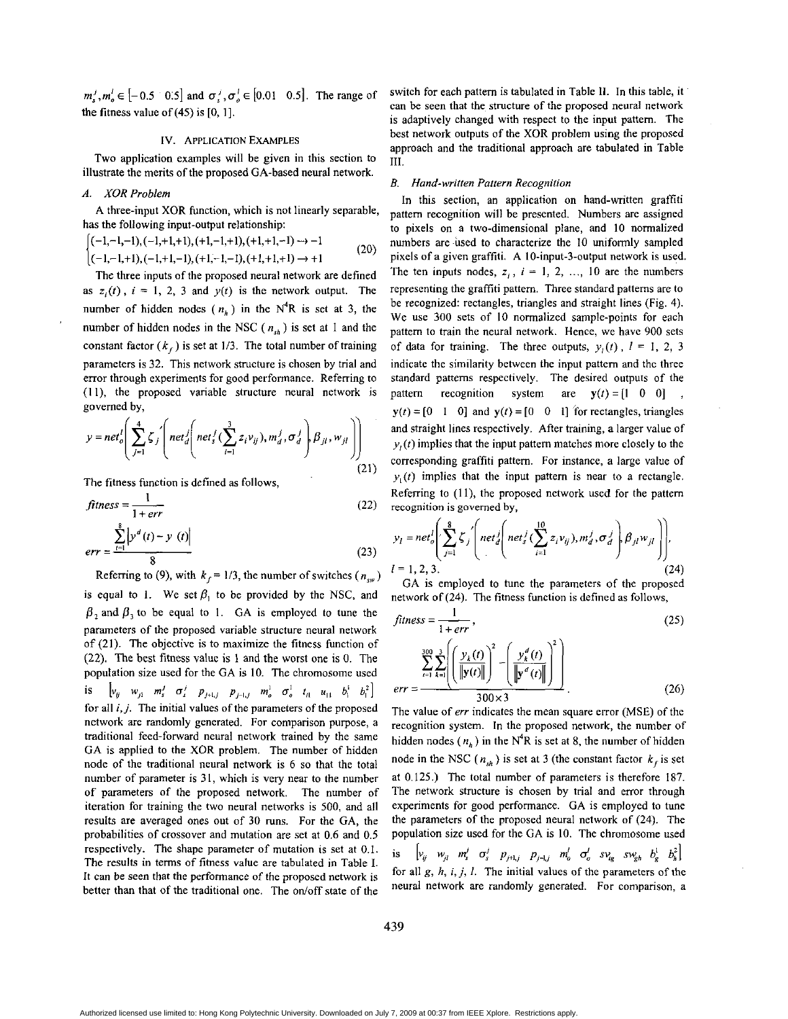$m_s^j, m_s^j \in [-0.5 \quad 0.5]$  and  $\sigma_s^j, \sigma_s^j \in [0.01 \quad 0.5]$ . The range of the fitness value of  $(45)$  is  $[0, 1]$ .

#### IV. APPLICATION **EXAMPLES**

Two application examples will be given in this section to illustrate the merits of the proposed GA-based neural network.

## A. XOR *Problem*

has the following input-output relationship: A three-input XOR function, which is not linearly separable,

$$
\begin{cases} (-1,-1,-1), (-1,+1,+1), (+1,-1,+1), (+1,+1,-1) \rightarrow -1 \\ (-1,-1,+1), (-1,+1,-1), (+1,-1,-1), (+1,+1,+1) \rightarrow +1 \end{cases} (20)
$$

The three inputs of the proposed neural network are defined as  $z_i(t)$ ,  $i = 1, 2, 3$  and  $y(t)$  is the network output. The number of hidden nodes  $(n_h)$  in the N<sup>4</sup>R is set at 3, the number of hidden nodes in the NSC ( $n_{sh}$ ) is set at 1 and the constant factor  $(k_f)$  is set at 1/3. The total number of training parameters is 32. This network structure is chosen by trial and error through experiments for good performance. Referring to **(1 I),** the proposed variable structure neural network is governed by,

$$
y = net_o^l \left( \sum_{j=1}^{4} \zeta_j \left( net_d^l \left( net_s^j \left( \sum_{i=1}^{3} z_i v_{ij} \right), m_d^j, \sigma_d^j \right) \beta_{jl}, w_{jl} \right) \right)
$$
  
The fitness function is defined as follows,  

$$
fitness = \frac{1}{1 + err}
$$
 (22)

The fitness function is defined as follows,

$$
fitness = \frac{1}{1 + err}
$$
\n
$$
err = \frac{\sum_{t=1}^{8} |y^d(t) - y(t)|}{8}
$$
\n(23)

Referring to (9), with  $k_f = 1/3$ , the number of switches ( $n_{sw}$ ) is equal to 1. We set  $\beta_1$  to be provided by the NSC, and  $\beta$ , and  $\beta$ , to be equal to 1. GA is employed to tune the parameters of the proposed variable structure neural network of *(21).* The objective is to maximize the fitness function of (22). The hest fitness value is 1 and the worst one **IS** 0. The population size used for the GA is IO. The chromosome used is for all *i,* j. The initial values of the parameters of the proposed network are randomly generated. For comparison purpose, a traditional feed-forward neural network trained by the same GA is applied to the XOR problem. The number of hidden node of the traditional neural network is *6* so that the total number of parameter is 31, which is very near to the number of parameters of the proposed network. The number of iteration for training the two neural networks is 500, and all results are averaged ones out of 30 runs. For the GA, the probabilities of crossover and mutation are set at *0.6* and 0.5 respectively. The shape parameter of mutation is set at 0.1. The results in terms of fitness value are tabulated in Table I. It can be seen that the performance of the proposed network is better than that of the traditional one. The on/off state of the  $\left[ v_{ij} \quad w_{j1} \quad m_s^j \quad \sigma_s^j \quad p_{j+l,j} \quad p_{j-l,j} \quad m_o^1 \quad \sigma_o^1 \quad t_{l1} \quad u_{11} \quad b_1^1 \quad b_1^2 \right]$ 

switch for each pattem is tabulated in Table **11.** In this table, it can be seen that the structure of the proposed neural network is adaptively changed with respect to the input pattem. The best network outputs of the XOR problem using the proposed approach and the traditional approach are tabulated in Table **111.** 

#### *B. Hand-written Paltern Recognition*

In this section, an application on hand-written graffiti pattem recognition will be presented. Numbers are assigned to pixels on a two-dimensional plane, and **IO** normalized numbers are used to characterize the 10 uniformly sampled pixels of a given graffiti. A IO-input-3-output network is used. The ten inputs nodes,  $z_i$ ,  $i = 1, 2, ..., 10$  are the numbers representing the graffiti pattem. Three standard pattems are to he recognized: rectangles, triangles and straight lines (Fig. 4). We use 300 sets of IO normalized sample-points for each pattern to train the neural network. Hence, we have 900 sets of data for training. The three outputs,  $y_i(t)$ ,  $l = 1, 2, 3$ indicate the similarity between the input pattem and the three standard pattems respectively. The desired outputs of the pattern recognition system are  $y(t) = [1 \ 0 \ 0]$  $y(t) = [0 \t 1 \t 0]$  and  $y(t) = [0 \t 0 \t 1]$  for rectangles, triangles and straight lines respectively. After training, a larger value of  $y_i(t)$  implies that the input pattern matches more closely to the corresponding graffiti pattern. For instance, a large value of  $y_i(t)$  implies that the input pattern is near to a rectangle. Referring to  $(11)$ , the proposed network used for the pattern recognition is governed by,

$$
y_{l} = net_{o}^{l} \left( \sum_{j=1}^{8} \zeta_{j}^{'} \left( net_{d}^{j} \left( net_{s}^{j} \left( \sum_{i=1}^{10} z_{i} v_{ij} \right), m_{d}^{j}, \sigma_{d}^{j} \right) \beta_{jl} w_{jl} \right) \right),
$$
  
\n
$$
l = 1, 2, 3.
$$
 GA is employed to tune the parameters of the proposed network of (24). The fitness function is defined as follows,  
\n
$$
fitness = \frac{1}{1 + err},
$$
 (25)

**GA** is employed to tune the parameters of the proposed network of *(24).* The fitness function is defined as follows,

$$
fitness = \frac{1}{1 + err},
$$
\n
$$
\sum_{t=1}^{300} \sum_{k=1}^{3} \left( \frac{y_k(t)}{\|\mathbf{y}(t)\|} \right)^2 - \left( \frac{y_k^d(t)}{\|\mathbf{y}^d(t)\|} \right)^2
$$
\n
$$
err = \frac{300 \times 3}{}
$$
\n(26)

The value of *err* indicates the mean square error (MSE) of the recognition system. In the proposed network, the number of hidden nodes  $(n_h)$  in the N<sup>4</sup>R is set at 8, the number of hidden node in the NSC ( $n_{sh}$ ) is set at 3 (the constant factor  $k_f$  is set at *0.125.)* The total number of parameters is therefore 187. The network structure is chosen by trial and error through experiments for good performance. GA is employed to tune the parameters of the proposed neural network of (24). The population size used for the GA is IO. The chromosome used  $\left[v_{ij}$   $w_{jl}$   $m_s^j$   $\sigma_s^j$   $p_{j+l,j}$   $p_{j+l,j}$   $m_o^l$   $\sigma_o^l$   $sv_{ig}$   $sw_{gh}$   $b_g^l$   $b_h^2$ for all g, h, *i, j, 1.* The initial values of the parameters of the

neural network are randomly generated. For comparison, a

Authorized licensed use limited to: Hong Kong Polytechnic University. Downloaded on July 7, 2009 at 00:37 from IEEE Xplore. Restrictions apply.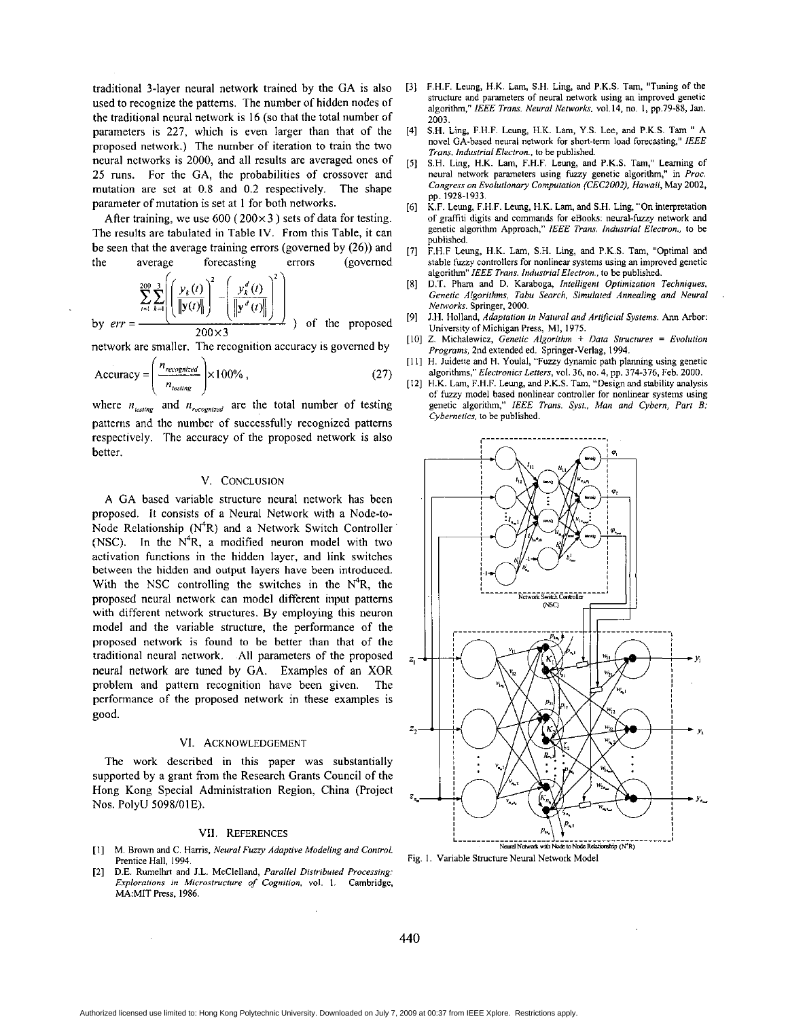traditional 3-layer neural network trained by the CA *is* also used to recognize the patterns. The number of hidden nodes of the traditional neural network is 16 (so that the total number of parameters is 227, which is even larger than that of the proposed network.) The number of iteration to train the two neural nctworks is 2000, and all results are averaged ones of 25 runs. For the **CA,** the probabilities of crossover and mutation are set at 0.8 and 0.2 respectively. The shape parameter of mutation **is** set at I for both networks.

After training, we use 600 (200x **3** ) sets of data for testing. The results are tabulated in Table IV. From this Table, it can be seen that the average training errors (governed by (26)) and the average forecasting errors (governed

$$
\sum_{t=1}^{200} \sum_{k=1}^{3} \left( \left( \frac{y_k(t)}{\left\| \mathbf{y}(t) \right\|} \right)^2 - \left( \frac{y_k^d(t)}{\left\| \mathbf{y'}^d(t) \right\|} \right)^2 \right)
$$

by  $err = \frac{(1.20)(1.20)(1.20)}{200 \times 3}$  of the proposed network are smaller. The recognition accuracy is govemed by

 $\sqrt{ }$ 

$$
Accuracy = \left(\frac{n_{recognition}}{n_{testing}}\right) \times 100\% \tag{27}
$$

where  $n_{\text{testing}}$  and  $n_{\text{recomp}}$  are the total number of testing patterns and the number of successfully recognized patterns respectively. The accuracy of the proposed network **is** also better.

# **V. CONCLUSION**

**A** GA based variable structure neural network has been proposed. It consists of a Neural Network with a Node-to-Node Relationship  $(N^4R)$  and a Network Switch Controller (NSC). In the  $N^4R$ , a modified neuron model with two activation functions in the hidden layer, and link switches between the hidden and output layers have been introduced. With the NSC controlling the switches in the  $N<sup>4</sup>R$ , the proposed neural network can model different input patterns with different network structures. By employing this neuron model and the variable structure, the performance of the  $\left|\right|$ proposed network is found to be better than that of the traditional neural network. All parameters of the proposed *z,*  neural network are tuned by **GA.** Examples of an XOR problem and pattern recognition have been given. The performance of the proposed network in these examples **is**  good.

#### **VI. ACKNOWLEDGEMENT**

The work described in this paper was substantially supported by a grant from the Research Grants Council of the Hong Kong Special Administration Region, China (Project Nos. PolyU **5098/01E).** ?-

- **Prentice** Hall. **1994.**
- **[2]**  D.E. Rumelhrt and J.L. McClelland, *Parallel Distributed Processing: Explorarionr* **in** *Microstructure* **o/** *Cognition.* **vol.** 1. **Cambridge, MA:MITPress. 1986.**
- **[3]** F.H.F. **Leung, H.K. Lam, S.H. Ling, and** P.K.S. **Tam, "Tuning of the structure and parameten of neural network using** an **improved genetic**  algoorithm," *IEEE Trms. Neural Nemorkr.* **~01.14, no.** I, **pp.79-88, Jan. 2003.**
- **S.H. Ling,** F.H.F. **Leung,** H.'K. **Lam,** Y.S. **Lee, and** P.K.S. Tam " **A novel CA-based neural network far short-term load forecasting."** *IEEE Trans.* **Industrial Electron., to be published. [4]**
- S.H. **Ling,** H.K. **Lam,** F.H.F. **Leung, and** P.K.S. **Tam," Leaming** of neural network parameters using fuzzy genetic algorithm," in *Proc.* **Congress on** *Evolutionary Co.mputalion (CEC2002). Howoil,* May *2002,*  **pp. 1928-1933.**  *[5]*
- K.F. **Leung,** F.H.F. **Leung,** H.K. **Lam,and S.H. Ling,"Oninterpretalion**  of graffiti digits and commands for eBooks: neural-fuzzy network and **genetic algorithm Approach,"** *IEEE Trans.* **Industrial** *Electron.,* Io **be published. [6]**
- F.H.F **Leung,** H.K. **Lam, S.H. Ling, and P.K.S. Tam, "Optimal and stable furzy controllers for nonlinear systems using** an **improved genetic algorithm"** *IEEE Trans. Industrial Electron..* **to be published. [7]**
- [8] D.T. Pham and D. Karaboga, *Intelligent Optimization Techniques*, *Genetic Algovithms, Tabu Search. Simulated Annealing and* **Neural**  *"Vorks.* **Springer, 2000.**
- **[9] J.H.** Holland, *Adaptation* in *Noturd and Artificial Systems.* **Ann Arbor:**  University of Michigan Press, MI, 1975.
- **[IO] Z. Miehalewicr, Genetic** *A1;:orithm* + *Dora Structures* = *Evolution Programs, 2nd extended ed.* Springer-Verlag, 1994.
- [I **I]** H. **Juidette and** H. **Youlal,** "Fwzy **dynamic path planning using genetic algorithms,"** *Electronics* **Letters, vol. 36, no. 4, pp. 374-376, Feb. 2000.**
- **[I21 H.K.** Lam, F.H.F. Leung, **and P.K.S. Tam, "Design and stability analysis of furzy model based nonlinzar controller for nonlinear systems using genetic algorithm,"** *IEEE Trons. Svst.. Man and Cybern, Part B: Cybernetics,* **to be published**



Fig. 1. Variable Structure Neural Network Model

Authorized licensed use limited to: Hong Kong Polytechnic University. Downloaded on July 7, 2009 at 00:37 from IEEE Xplore. Restrictions apply.